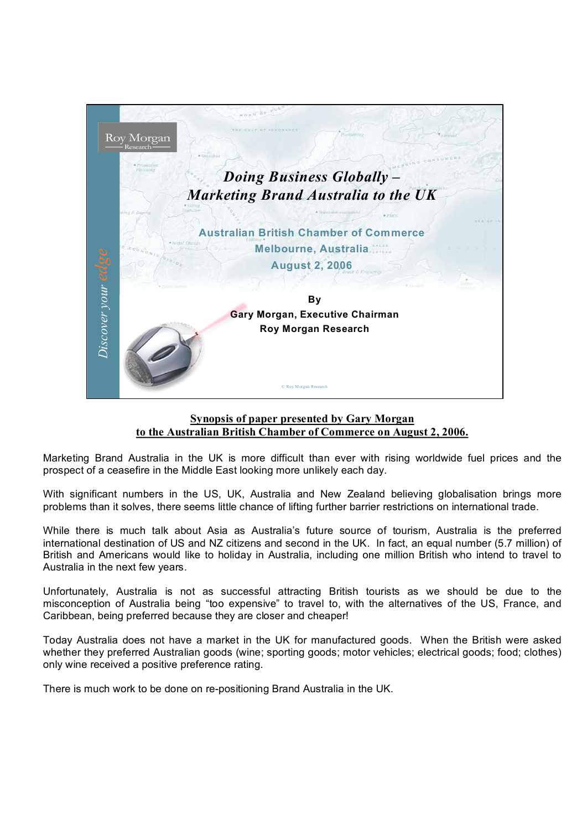

## **Synopsis of paper presented by Gary Morgan to the Australian British Chamber of Commerce on August 2, 2006.**

Marketing Brand Australia in the UK is more difficult than ever with rising worldwide fuel prices and the prospect of a ceasefire in the Middle East looking more unlikely each day.

With significant numbers in the US, UK, Australia and New Zealand believing globalisation brings more problems than it solves, there seems little chance of lifting further barrier restrictions on international trade.

While there is much talk about Asia as Australia's future source of tourism, Australia is the preferred international destination of US and NZ citizens and second in the UK. In fact, an equal number (5.7 million) of British and Americans would like to holiday in Australia, including one million British who intend to travel to Australia in the next few years.

Unfortunately, Australia is not as successful attracting British tourists as we should be due to the misconception of Australia being "too expensive" to travel to, with the alternatives of the US, France, and Caribbean, being preferred because they are closer and cheaper!

Today Australia does not have a market in the UK for manufactured goods. When the British were asked whether they preferred Australian goods (wine; sporting goods; motor vehicles; electrical goods; food; clothes) only wine received a positive preference rating.

There is much work to be done on re-positioning Brand Australia in the UK.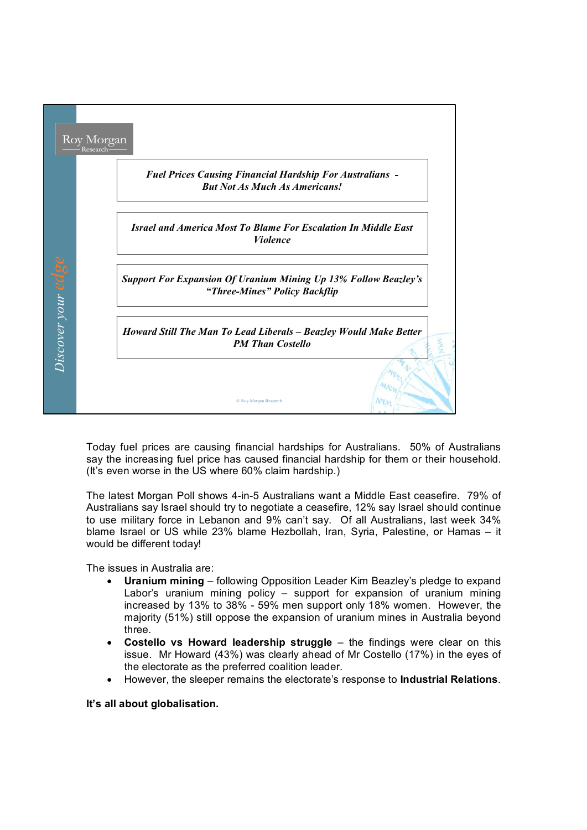

Today fuel prices are causing financial hardships for Australians. 50% of Australians say the increasing fuel price has caused financial hardship for them or their household. (It's even worse in the US where 60% claim hardship.)

The latest Morgan Poll shows 4-in-5 Australians want a Middle East ceasefire. 79% of Australians say Israel should try to negotiate a ceasefire, 12% say Israel should continue to use military force in Lebanon and 9% can't say. Of all Australians, last week 34% blame Israel or US while 23% blame Hezbollah, Iran, Syria, Palestine, or Hamas - it would be different today!

The issues in Australia are:

- · **Uranium mining** following Opposition Leader Kim Beazley's pledge to expand Labor's uranium mining policy – support for expansion of uranium mining increased by 13% to 38% 59% men support only 18% women. However, the majority (51%) still oppose the expansion of uranium mines in Australia beyond three.
- · **Costello vs Howard leadership struggle** the findings were clear on this issue. Mr Howard (43%) was clearly ahead of Mr Costello (17%) in the eyes of the electorate as the preferred coalition leader.
- · However, the sleeper remains the electorate's response to **Industrial Relations**.

**It's all about globalisation.**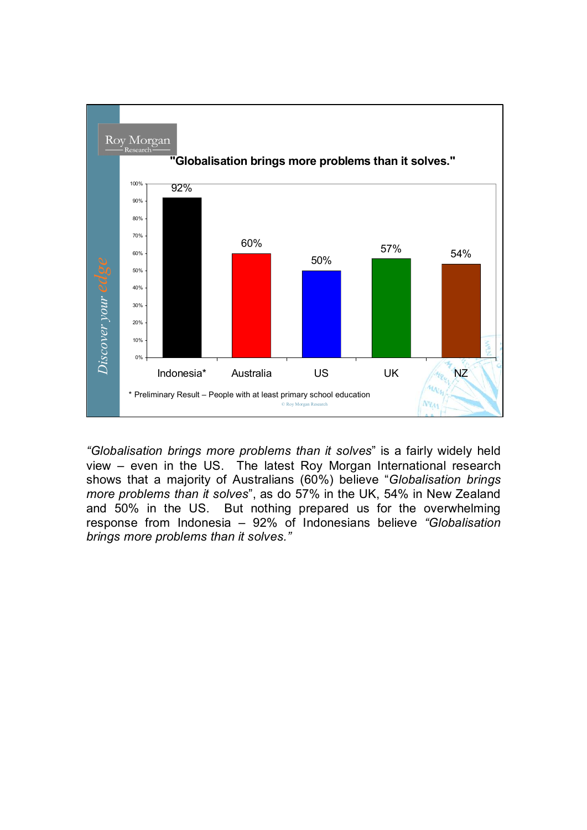

*"Globalisation brings more problems than it solves*" is a fairly widely held view – even in the US. The latest Roy Morgan International research shows that a majority of Australians (60%) believe "*Globalisation brings more problems than it solves*", as do 57% in the UK, 54% in New Zealand and 50% in the US. But nothing prepared us for the overwhelming response from Indonesia – 92% of Indonesians believe *"Globalisation brings more problems than it solves."*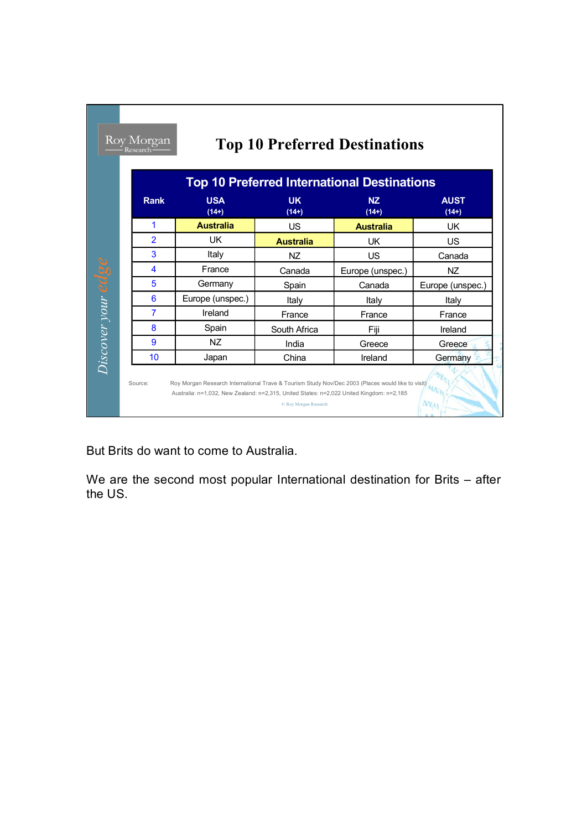|                    |                | <b>Top 10 Preferred International Destinations</b> |                      |                      |                        |  |
|--------------------|----------------|----------------------------------------------------|----------------------|----------------------|------------------------|--|
|                    | <b>Rank</b>    | <b>USA</b><br>$(14+)$                              | <b>UK</b><br>$(14+)$ | <b>NZ</b><br>$(14+)$ | <b>AUST</b><br>$(14+)$ |  |
|                    | 1              | <b>Australia</b>                                   | US                   | <b>Australia</b>     | <b>UK</b>              |  |
|                    | $\overline{2}$ | UK                                                 | <b>Australia</b>     | UK                   | US                     |  |
|                    | 3              | Italy                                              | <b>NZ</b>            | US                   | Canada                 |  |
|                    | 4              | France                                             | Canada               | Europe (unspec.)     | <b>NZ</b>              |  |
|                    | 5              | Germany                                            | Spain                | Canada               | Europe (unspec.)       |  |
| Discover your edge | 6              | Europe (unspec.)                                   | Italy                | Italy                | Italy                  |  |
|                    | 7              | Ireland                                            | France               | France               | France                 |  |
|                    | 8              | Spain                                              | South Africa         | Fiii                 | Ireland                |  |
|                    | 9              | <b>NZ</b>                                          | India                | Greece               | Greece                 |  |
|                    | 10             | Japan                                              | China                | Ireland              | Germany                |  |

٦

But Brits do want to come to Australia.

**The Company** 

We are the second most popular International destination for Brits – after the US.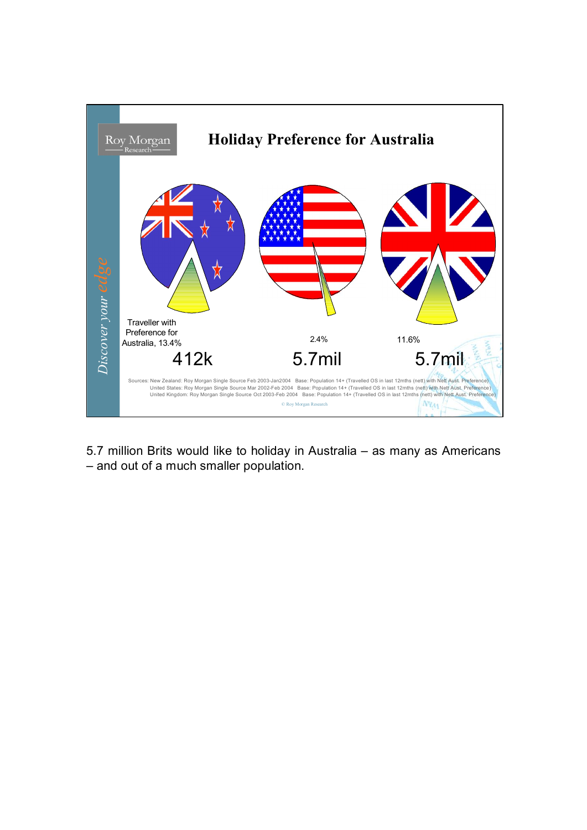

5.7 million Brits would like to holiday in Australia – as many as Americans – and out of a much smaller population.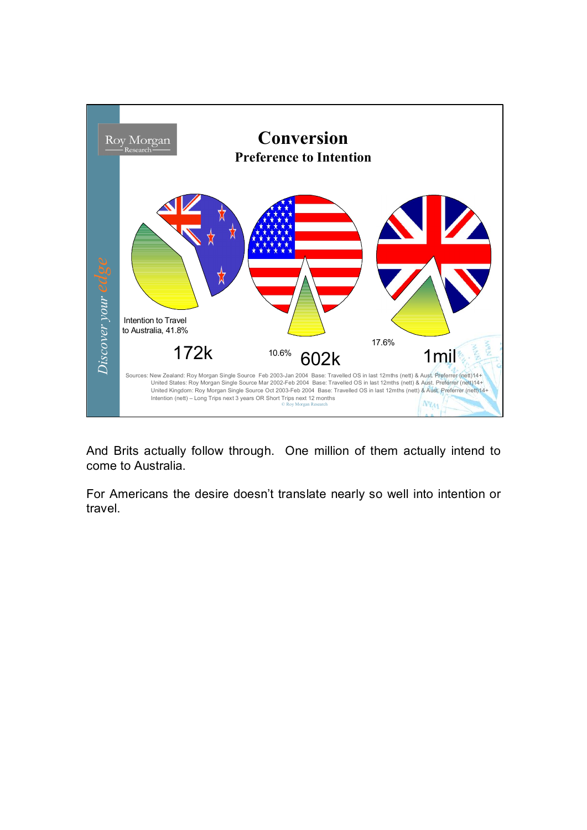

And Brits actually follow through. One million of them actually intend to come to Australia.

For Americans the desire doesn't translate nearly so well into intention or travel.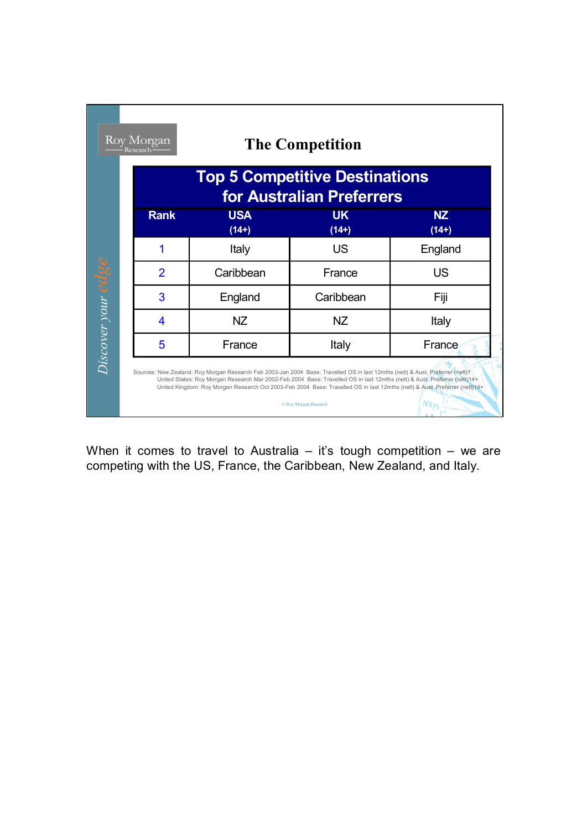|                       | Roy Morgan<br>Research                                             |                                                                                                                                                                                                                                                                                                                                                                                             | <b>The Competition</b> |                      |  |  |
|-----------------------|--------------------------------------------------------------------|---------------------------------------------------------------------------------------------------------------------------------------------------------------------------------------------------------------------------------------------------------------------------------------------------------------------------------------------------------------------------------------------|------------------------|----------------------|--|--|
|                       | <b>Top 5 Competitive Destinations</b><br>for Australian Preferrers |                                                                                                                                                                                                                                                                                                                                                                                             |                        |                      |  |  |
|                       | <b>Rank</b>                                                        | <b>USA</b><br>$(14+)$                                                                                                                                                                                                                                                                                                                                                                       | <b>UK</b><br>$(14+)$   | <b>NZ</b><br>$(14+)$ |  |  |
|                       |                                                                    | Italy                                                                                                                                                                                                                                                                                                                                                                                       | <b>US</b>              | England              |  |  |
|                       | $\overline{2}$                                                     | Caribbean                                                                                                                                                                                                                                                                                                                                                                                   | France                 | <b>US</b>            |  |  |
|                       | 3                                                                  | England                                                                                                                                                                                                                                                                                                                                                                                     | Caribbean              | Fiji                 |  |  |
| $Discover$ your $edg$ | 4                                                                  | <b>NZ</b>                                                                                                                                                                                                                                                                                                                                                                                   | <b>NZ</b>              | Italy                |  |  |
|                       | 5                                                                  | France                                                                                                                                                                                                                                                                                                                                                                                      | Italy                  | France               |  |  |
|                       |                                                                    | Sources: New Zealand: Roy Morgan Research Feb 2003-Jan 2004 Base: Travelled OS in last 12mths (nett) & Aust. Preferrer (nett)1<br>United States: Roy Morgan Research Mar 2002-Feb 2004 Base: Travelled OS in last 12mths (nett) & Aust. Preferrer (nett) 14+<br>United Kingdom: Roy Morgan Research Oct 2003-Feb 2004 Base: Travelled OS in last 12mths (nett) & Aust. Preferrer (nett) 14+ | C Roy Morgan Research  |                      |  |  |

When it comes to travel to Australia  $-$  it's tough competition  $-$  we are competing with the US, France, the Caribbean, New Zealand, and Italy.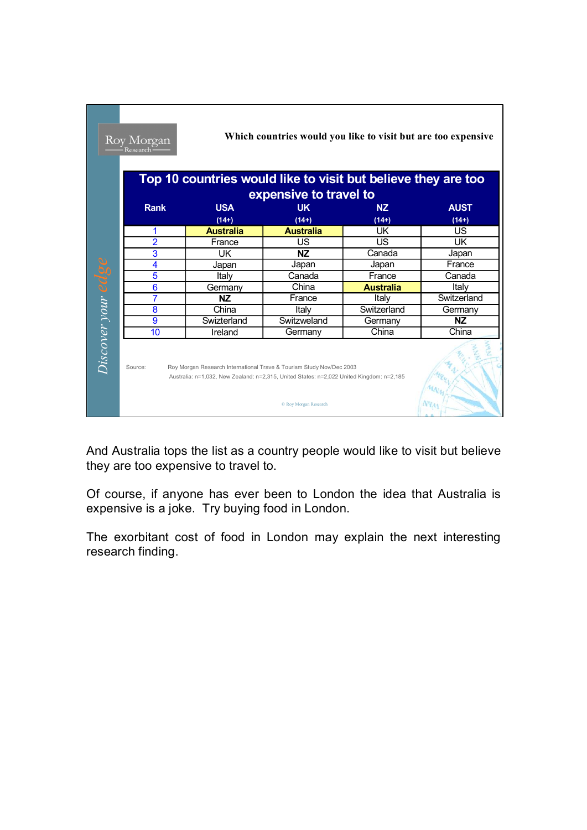|                                                                                                                                                                                                      | Top 10 countries would like to visit but believe they are too<br>expensive to travel to |                      |                      |                        |  |  |  |  |  |
|------------------------------------------------------------------------------------------------------------------------------------------------------------------------------------------------------|-----------------------------------------------------------------------------------------|----------------------|----------------------|------------------------|--|--|--|--|--|
| <b>Rank</b>                                                                                                                                                                                          | <b>USA</b><br>$(14+)$                                                                   | <b>UK</b><br>$(14+)$ | <b>NZ</b><br>$(14+)$ | <b>AUST</b><br>$(14+)$ |  |  |  |  |  |
| 1                                                                                                                                                                                                    | <b>Australia</b>                                                                        | <b>Australia</b>     | UK                   | US                     |  |  |  |  |  |
| 2                                                                                                                                                                                                    | France                                                                                  | US                   | US                   | UK                     |  |  |  |  |  |
| 3                                                                                                                                                                                                    | UK                                                                                      | NZ.                  | Canada               | Japan                  |  |  |  |  |  |
| 4                                                                                                                                                                                                    | Japan                                                                                   | Japan                | Japan                | France                 |  |  |  |  |  |
| 5                                                                                                                                                                                                    | Italy                                                                                   | Canada               | France               | Canada                 |  |  |  |  |  |
| 6                                                                                                                                                                                                    | Germany                                                                                 | China                | <b>Australia</b>     | Italy                  |  |  |  |  |  |
| $\overline{7}$                                                                                                                                                                                       | <b>NZ</b>                                                                               | France               | Italv                | Switzerland            |  |  |  |  |  |
| 8                                                                                                                                                                                                    | China                                                                                   | Italv                | Switzerland          | Germany                |  |  |  |  |  |
| 9                                                                                                                                                                                                    | Swizterland                                                                             | Switzweland          | Germany              | <b>NZ</b>              |  |  |  |  |  |
| 10                                                                                                                                                                                                   | Ireland                                                                                 | Germany              | China                | China                  |  |  |  |  |  |
| Roy Morgan Research International Trave & Tourism Study Nov/Dec 2003<br>Source:<br>Australia: n=1,032, New Zealand: n=2,315, United States: n=2,022 United Kingdom: n=2,185<br>© Roy Morgan Research |                                                                                         |                      |                      |                        |  |  |  |  |  |

٦

And Australia tops the list as a country people would like to visit but believe they are too expensive to travel to.

Of course, if anyone has ever been to London the idea that Australia is expensive is a joke. Try buying food in London.

The exorbitant cost of food in London may explain the next interesting research finding.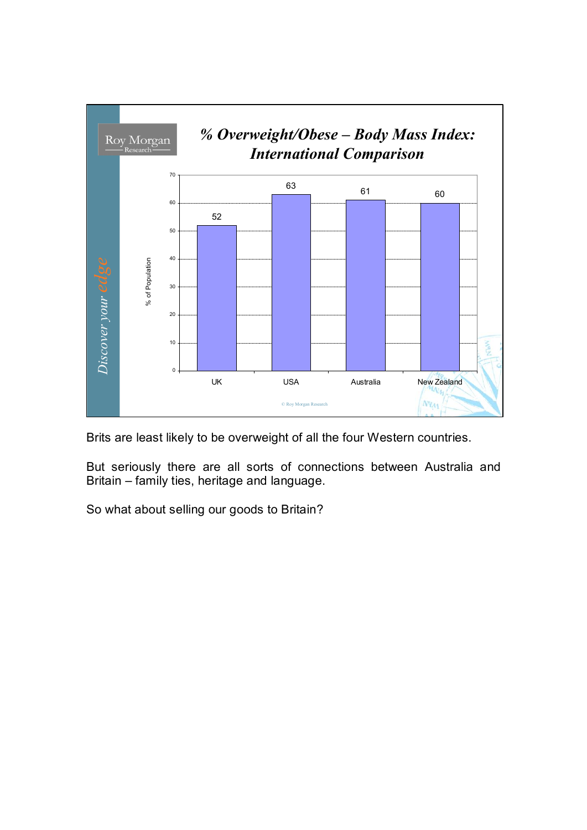

Brits are least likely to be overweight of all the four Western countries.

But seriously there are all sorts of connections between Australia and Britain – family ties, heritage and language.

So what about selling our goods to Britain?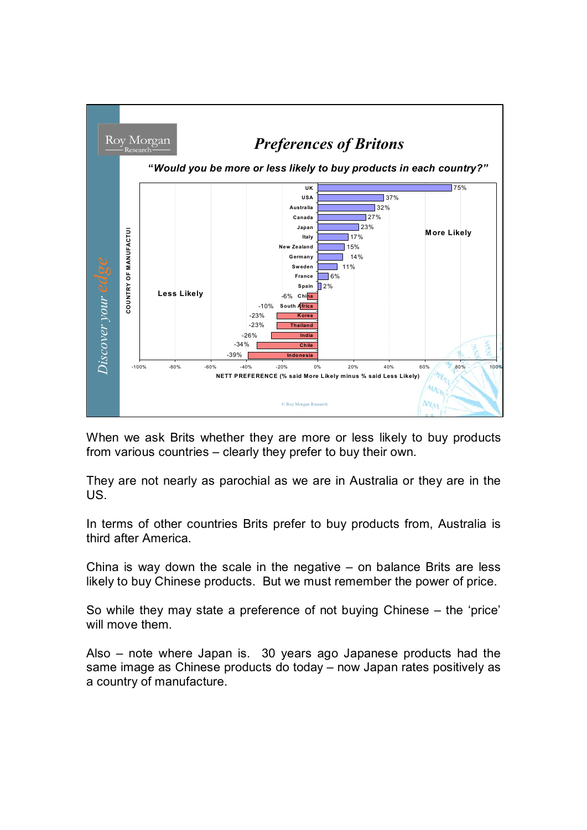

When we ask Brits whether they are more or less likely to buy products from various countries – clearly they prefer to buy their own.

They are not nearly as parochial as we are in Australia or they are in the US.

In terms of other countries Brits prefer to buy products from, Australia is third after America.

China is way down the scale in the negative  $-$  on balance Brits are less likely to buy Chinese products. But we must remember the power of price.

So while they may state a preference of not buying Chinese – the 'price' will move them.

Also – note where Japan is. 30 years ago Japanese products had the same image as Chinese products do today – now Japan rates positively as a country of manufacture.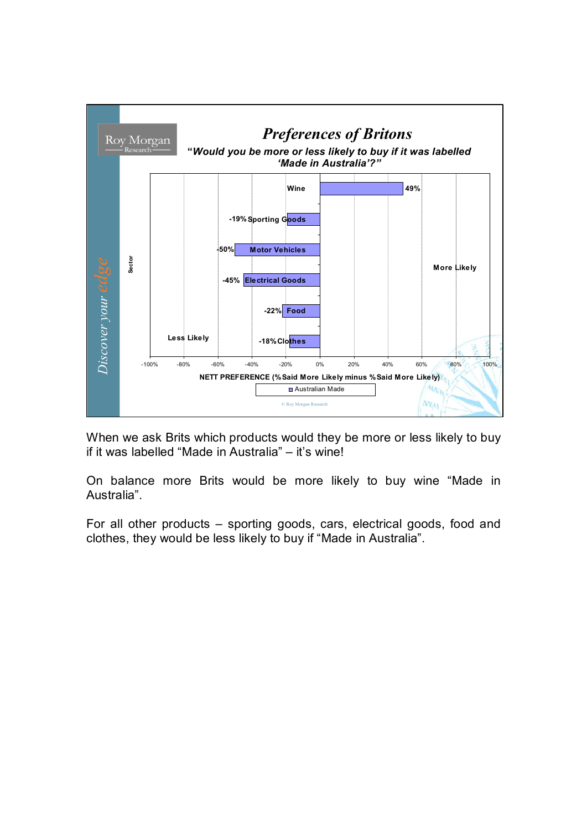

When we ask Brits which products would they be more or less likely to buy if it was labelled "Made in Australia" – it's wine!

On balance more Brits would be more likely to buy wine "Made in Australia".

For all other products – sporting goods, cars, electrical goods, food and clothes, they would be less likely to buy if "Made in Australia".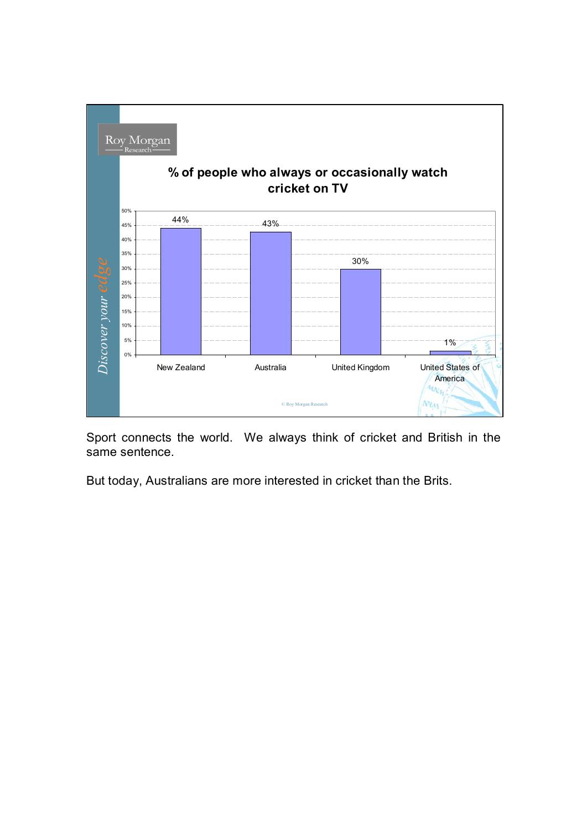

Sport connects the world. We always think of cricket and British in the same sentence.

But today, Australians are more interested in cricket than the Brits.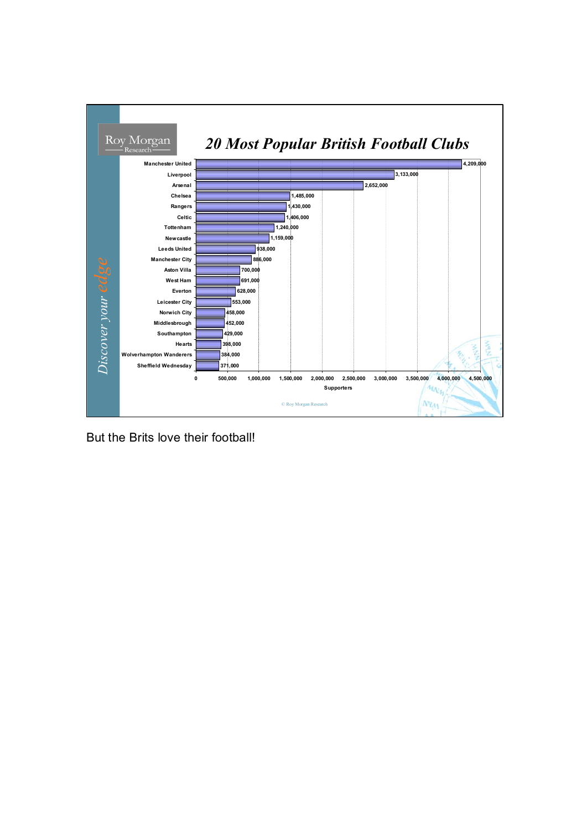

But the Brits love their football!